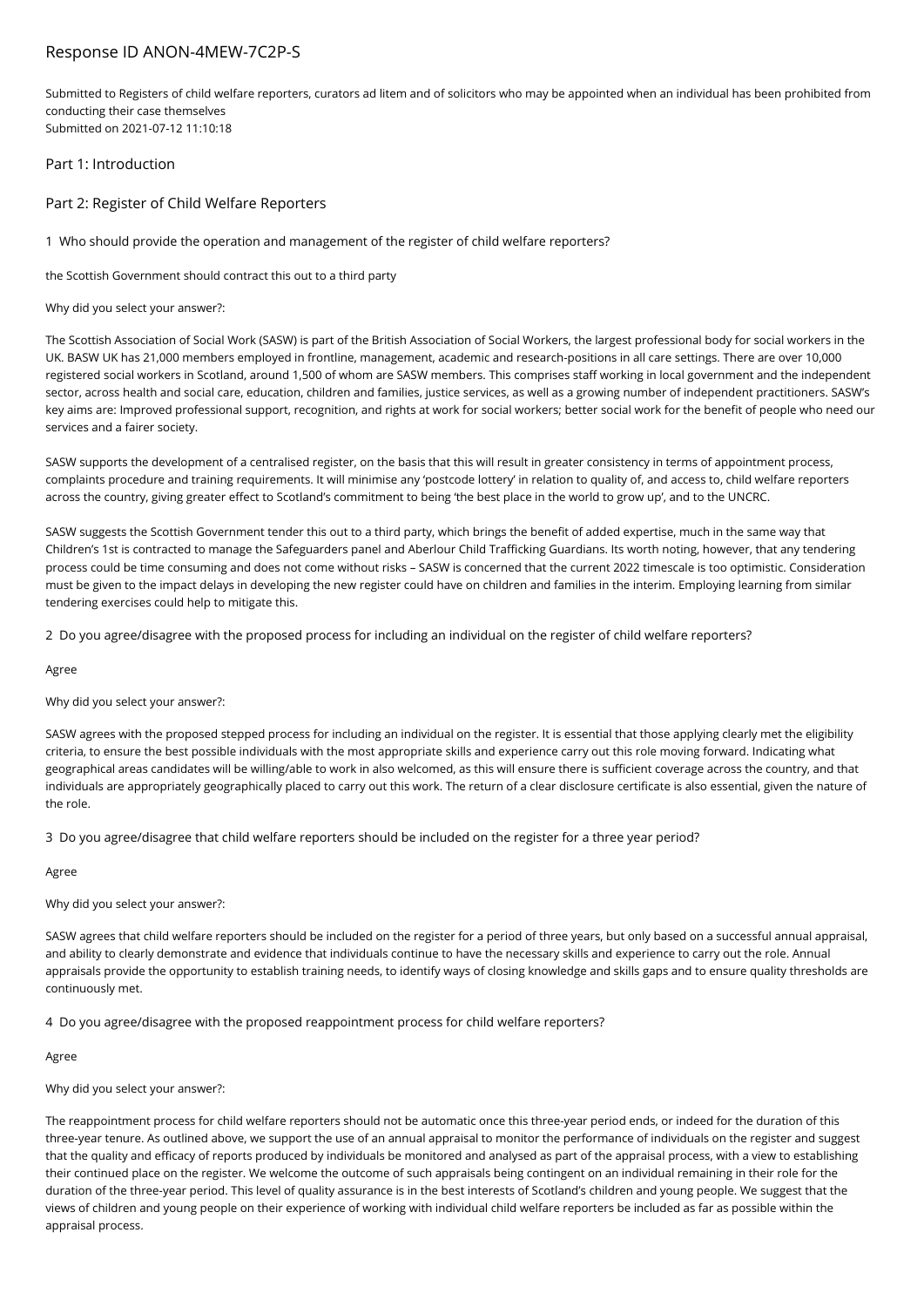# Response ID ANON-4MEW-7C2P-S

Submitted to Registers of child welfare reporters, curators ad litem and of solicitors who may be appointed when an individual has been prohibited from conducting their case themselves Submitted on 2021-07-12 11:10:18

Part 1: Introduction

# Part 2: Register of Child Welfare Reporters

1 Who should provide the operation and management of the register of child welfare reporters?

the Scottish Government should contract this out to a third party

Why did you select your answer?:

The Scottish Association of Social Work (SASW) is part of the British Association of Social Workers, the largest professional body for social workers in the UK. BASW UK has 21,000 members employed in frontline, management, academic and research-positions in all care settings. There are over 10,000 registered social workers in Scotland, around 1,500 of whom are SASW members. This comprises staff working in local government and the independent sector, across health and social care, education, children and families, justice services, as well as a growing number of independent practitioners. SASW's key aims are: Improved professional support, recognition, and rights at work for social workers; better social work for the benefit of people who need our services and a fairer society.

SASW supports the development of a centralised register, on the basis that this will result in greater consistency in terms of appointment process, complaints procedure and training requirements. It will minimise any 'postcode lottery' in relation to quality of, and access to, child welfare reporters across the country, giving greater effect to Scotland's commitment to being 'the best place in the world to grow up', and to the UNCRC.

SASW suggests the Scottish Government tender this out to a third party, which brings the benefit of added expertise, much in the same way that Children's 1st is contracted to manage the Safeguarders panel and Aberlour Child Trafficking Guardians. Its worth noting, however, that any tendering process could be time consuming and does not come without risks – SASW is concerned that the current 2022 timescale is too optimistic. Consideration must be given to the impact delays in developing the new register could have on children and families in the interim. Employing learning from similar tendering exercises could help to mitigate this.

2 Do you agree/disagree with the proposed process for including an individual on the register of child welfare reporters?

Agree

Why did you select your answer?:

SASW agrees with the proposed stepped process for including an individual on the register. It is essential that those applying clearly met the eligibility criteria, to ensure the best possible individuals with the most appropriate skills and experience carry out this role moving forward. Indicating what geographical areas candidates will be willing/able to work in also welcomed, as this will ensure there is sufficient coverage across the country, and that individuals are appropriately geographically placed to carry out this work. The return of a clear disclosure certificate is also essential, given the nature of the role.

3 Do you agree/disagree that child welfare reporters should be included on the register for a three year period?

Agree

Why did you select your answer?:

SASW agrees that child welfare reporters should be included on the register for a period of three years, but only based on a successful annual appraisal, and ability to clearly demonstrate and evidence that individuals continue to have the necessary skills and experience to carry out the role. Annual appraisals provide the opportunity to establish training needs, to identify ways of closing knowledge and skills gaps and to ensure quality thresholds are continuously met.

4 Do you agree/disagree with the proposed reappointment process for child welfare reporters?

Agree

Why did you select your answer?:

The reappointment process for child welfare reporters should not be automatic once this three-year period ends, or indeed for the duration of this three-year tenure. As outlined above, we support the use of an annual appraisal to monitor the performance of individuals on the register and suggest that the quality and efficacy of reports produced by individuals be monitored and analysed as part of the appraisal process, with a view to establishing their continued place on the register. We welcome the outcome of such appraisals being contingent on an individual remaining in their role for the duration of the three-year period. This level of quality assurance is in the best interests of Scotland's children and young people. We suggest that the views of children and young people on their experience of working with individual child welfare reporters be included as far as possible within the appraisal process.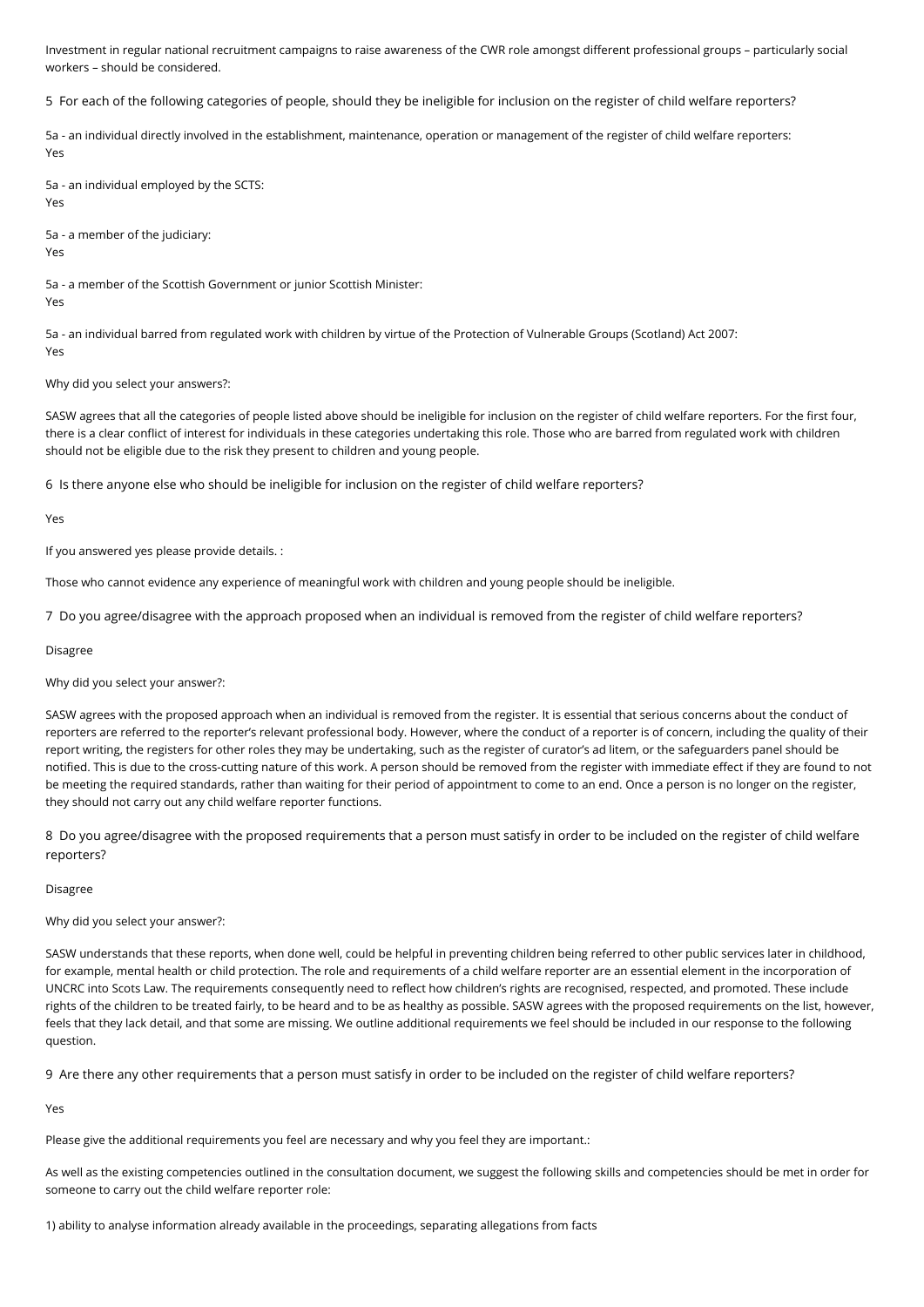Investment in regular national recruitment campaigns to raise awareness of the CWR role amongst different professional groups – particularly social workers – should be considered.

5 For each of the following categories of people, should they be ineligible for inclusion on the register of child welfare reporters?

5a - an individual directly involved in the establishment, maintenance, operation or management of the register of child welfare reporters: Yes

5a - an individual employed by the SCTS: Yes

5a - a member of the judiciary: Yes

5a - a member of the Scottish Government or junior Scottish Minister: Yes

5a - an individual barred from regulated work with children by virtue of the Protection of Vulnerable Groups (Scotland) Act 2007: Yes

Why did you select your answers?:

SASW agrees that all the categories of people listed above should be ineligible for inclusion on the register of child welfare reporters. For the first four, there is a clear conflict of interest for individuals in these categories undertaking this role. Those who are barred from regulated work with children should not be eligible due to the risk they present to children and young people.

6 Is there anyone else who should be ineligible for inclusion on the register of child welfare reporters?

Yes

If you answered yes please provide details. :

Those who cannot evidence any experience of meaningful work with children and young people should be ineligible.

7 Do you agree/disagree with the approach proposed when an individual is removed from the register of child welfare reporters?

Disagree

Why did you select your answer?:

SASW agrees with the proposed approach when an individual is removed from the register. It is essential that serious concerns about the conduct of reporters are referred to the reporter's relevant professional body. However, where the conduct of a reporter is of concern, including the quality of their report writing, the registers for other roles they may be undertaking, such as the register of curator's ad litem, or the safeguarders panel should be notified. This is due to the cross-cutting nature of this work. A person should be removed from the register with immediate effect if they are found to not be meeting the required standards, rather than waiting for their period of appointment to come to an end. Once a person is no longer on the register, they should not carry out any child welfare reporter functions.

8 Do you agree/disagree with the proposed requirements that a person must satisfy in order to be included on the register of child welfare reporters?

Disagree

Why did you select your answer?:

SASW understands that these reports, when done well, could be helpful in preventing children being referred to other public services later in childhood, for example, mental health or child protection. The role and requirements of a child welfare reporter are an essential element in the incorporation of UNCRC into Scots Law. The requirements consequently need to reflect how children's rights are recognised, respected, and promoted. These include rights of the children to be treated fairly, to be heard and to be as healthy as possible. SASW agrees with the proposed requirements on the list, however, feels that they lack detail, and that some are missing. We outline additional requirements we feel should be included in our response to the following question.

9 Are there any other requirements that a person must satisfy in order to be included on the register of child welfare reporters?

Yes

Please give the additional requirements you feel are necessary and why you feel they are important.:

As well as the existing competencies outlined in the consultation document, we suggest the following skills and competencies should be met in order for someone to carry out the child welfare reporter role:

1) ability to analyse information already available in the proceedings, separating allegations from facts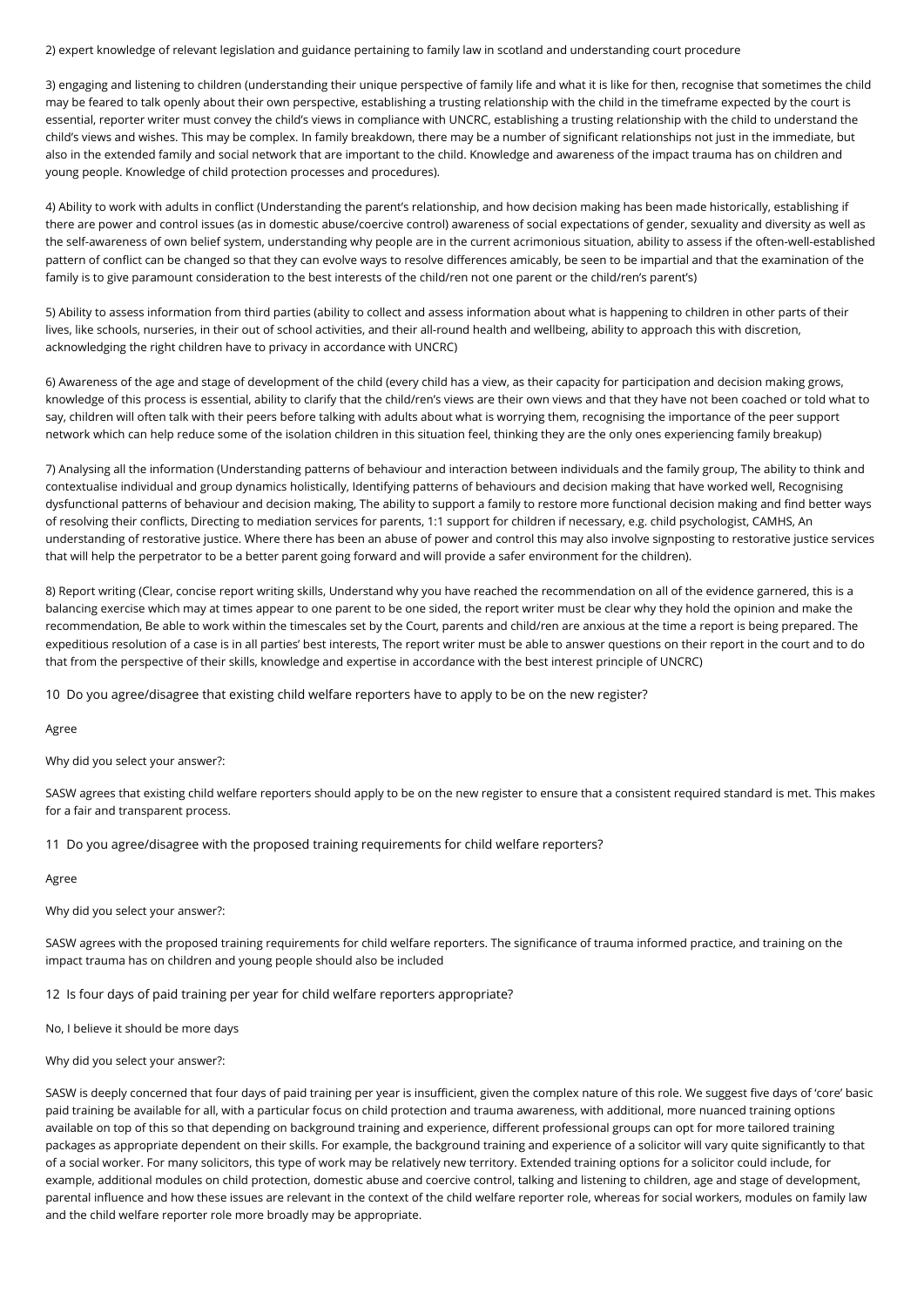2) expert knowledge of relevant legislation and guidance pertaining to family law in scotland and understanding court procedure

3) engaging and listening to children (understanding their unique perspective of family life and what it is like for then, recognise that sometimes the child may be feared to talk openly about their own perspective, establishing a trusting relationship with the child in the timeframe expected by the court is essential, reporter writer must convey the child's views in compliance with UNCRC, establishing a trusting relationship with the child to understand the child's views and wishes. This may be complex. In family breakdown, there may be a number of significant relationships not just in the immediate, but also in the extended family and social network that are important to the child. Knowledge and awareness of the impact trauma has on children and young people. Knowledge of child protection processes and procedures).

4) Ability to work with adults in conflict (Understanding the parent's relationship, and how decision making has been made historically, establishing if there are power and control issues (as in domestic abuse/coercive control) awareness of social expectations of gender, sexuality and diversity as well as the self-awareness of own belief system, understanding why people are in the current acrimonious situation, ability to assess if the often-well-established pattern of conflict can be changed so that they can evolve ways to resolve differences amicably, be seen to be impartial and that the examination of the family is to give paramount consideration to the best interests of the child/ren not one parent or the child/ren's parent's)

5) Ability to assess information from third parties (ability to collect and assess information about what is happening to children in other parts of their lives, like schools, nurseries, in their out of school activities, and their all-round health and wellbeing, ability to approach this with discretion, acknowledging the right children have to privacy in accordance with UNCRC)

6) Awareness of the age and stage of development of the child (every child has a view, as their capacity for participation and decision making grows, knowledge of this process is essential, ability to clarify that the child/ren's views are their own views and that they have not been coached or told what to say, children will often talk with their peers before talking with adults about what is worrying them, recognising the importance of the peer support network which can help reduce some of the isolation children in this situation feel, thinking they are the only ones experiencing family breakup)

7) Analysing all the information (Understanding patterns of behaviour and interaction between individuals and the family group, The ability to think and contextualise individual and group dynamics holistically, Identifying patterns of behaviours and decision making that have worked well, Recognising dysfunctional patterns of behaviour and decision making, The ability to support a family to restore more functional decision making and find better ways of resolving their conflicts, Directing to mediation services for parents, 1:1 support for children if necessary, e.g. child psychologist, CAMHS, An understanding of restorative justice. Where there has been an abuse of power and control this may also involve signposting to restorative justice services that will help the perpetrator to be a better parent going forward and will provide a safer environment for the children).

8) Report writing (Clear, concise report writing skills, Understand why you have reached the recommendation on all of the evidence garnered, this is a balancing exercise which may at times appear to one parent to be one sided, the report writer must be clear why they hold the opinion and make the recommendation, Be able to work within the timescales set by the Court, parents and child/ren are anxious at the time a report is being prepared. The expeditious resolution of a case is in all parties' best interests, The report writer must be able to answer questions on their report in the court and to do that from the perspective of their skills, knowledge and expertise in accordance with the best interest principle of UNCRC)

10 Do you agree/disagree that existing child welfare reporters have to apply to be on the new register?

Agree

Why did you select your answer?:

SASW agrees that existing child welfare reporters should apply to be on the new register to ensure that a consistent required standard is met. This makes for a fair and transparent process.

11 Do you agree/disagree with the proposed training requirements for child welfare reporters?

## Agree

Why did you select your answer?:

SASW agrees with the proposed training requirements for child welfare reporters. The significance of trauma informed practice, and training on the impact trauma has on children and young people should also be included

12 Is four days of paid training per year for child welfare reporters appropriate?

No, I believe it should be more days

## Why did you select your answer?:

SASW is deeply concerned that four days of paid training per year is insufficient, given the complex nature of this role. We suggest five days of 'core' basic paid training be available for all, with a particular focus on child protection and trauma awareness, with additional, more nuanced training options available on top of this so that depending on background training and experience, different professional groups can opt for more tailored training packages as appropriate dependent on their skills. For example, the background training and experience of a solicitor will vary quite significantly to that of a social worker. For many solicitors, this type of work may be relatively new territory. Extended training options for a solicitor could include, for example, additional modules on child protection, domestic abuse and coercive control, talking and listening to children, age and stage of development, parental influence and how these issues are relevant in the context of the child welfare reporter role, whereas for social workers, modules on family law and the child welfare reporter role more broadly may be appropriate.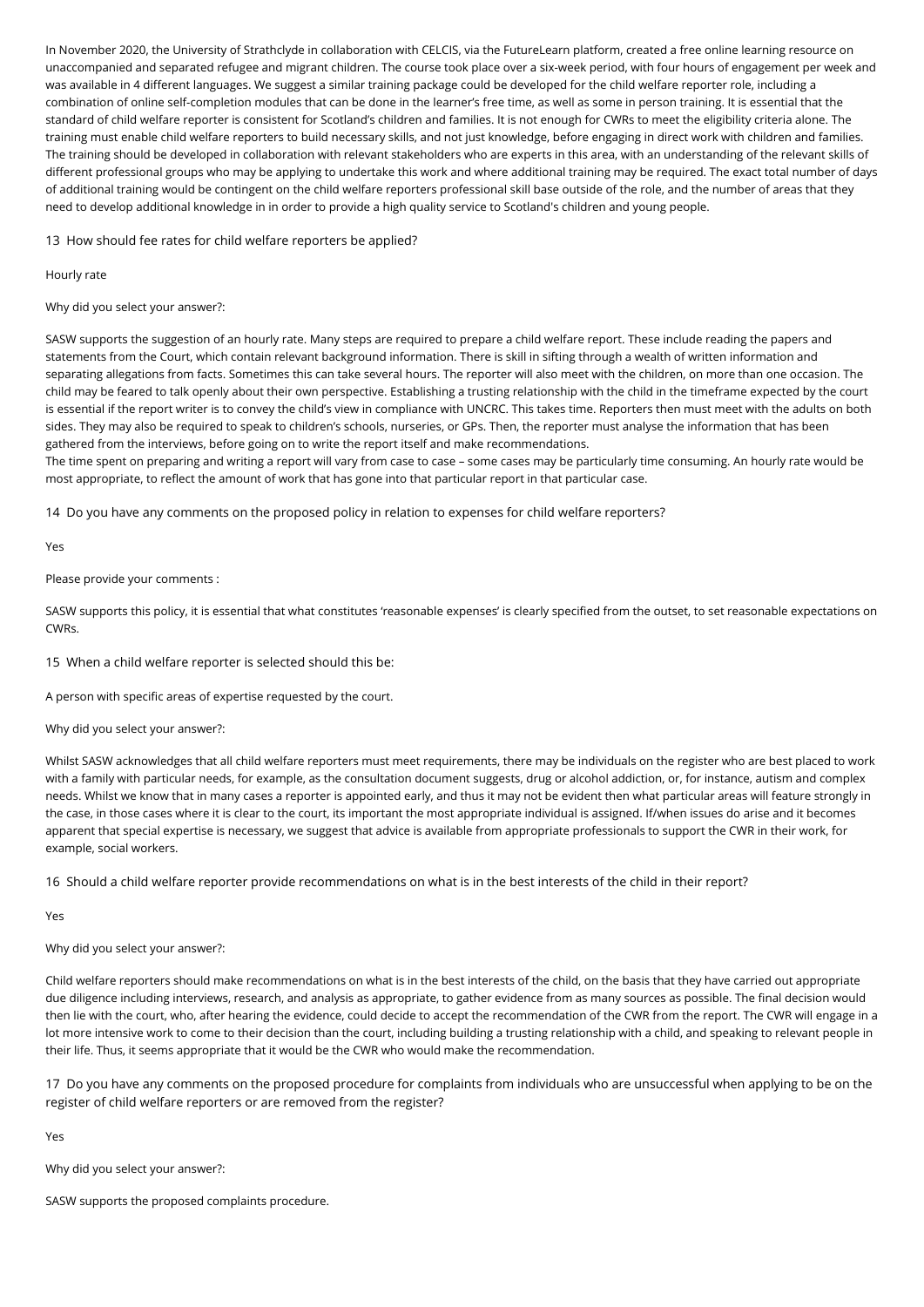In November 2020, the University of Strathclyde in collaboration with CELCIS, via the FutureLearn platform, created a free online learning resource on unaccompanied and separated refugee and migrant children. The course took place over a six-week period, with four hours of engagement per week and was available in 4 different languages. We suggest a similar training package could be developed for the child welfare reporter role, including a combination of online self-completion modules that can be done in the learner's free time, as well as some in person training. It is essential that the standard of child welfare reporter is consistent for Scotland's children and families. It is not enough for CWRs to meet the eligibility criteria alone. The training must enable child welfare reporters to build necessary skills, and not just knowledge, before engaging in direct work with children and families. The training should be developed in collaboration with relevant stakeholders who are experts in this area, with an understanding of the relevant skills of different professional groups who may be applying to undertake this work and where additional training may be required. The exact total number of days of additional training would be contingent on the child welfare reporters professional skill base outside of the role, and the number of areas that they need to develop additional knowledge in in order to provide a high quality service to Scotland's children and young people.

13 How should fee rates for child welfare reporters be applied?

#### Hourly rate

Why did you select your answer?:

SASW supports the suggestion of an hourly rate. Many steps are required to prepare a child welfare report. These include reading the papers and statements from the Court, which contain relevant background information. There is skill in sifting through a wealth of written information and separating allegations from facts. Sometimes this can take several hours. The reporter will also meet with the children, on more than one occasion. The child may be feared to talk openly about their own perspective. Establishing a trusting relationship with the child in the timeframe expected by the court is essential if the report writer is to convey the child's view in compliance with UNCRC. This takes time. Reporters then must meet with the adults on both sides. They may also be required to speak to children's schools, nurseries, or GPs. Then, the reporter must analyse the information that has been gathered from the interviews, before going on to write the report itself and make recommendations.

The time spent on preparing and writing a report will vary from case to case – some cases may be particularly time consuming. An hourly rate would be most appropriate, to reflect the amount of work that has gone into that particular report in that particular case.

14 Do you have any comments on the proposed policy in relation to expenses for child welfare reporters?

Yes

Please provide your comments :

SASW supports this policy, it is essential that what constitutes 'reasonable expenses' is clearly specified from the outset, to set reasonable expectations on CWRs.

15 When a child welfare reporter is selected should this be:

A person with specific areas of expertise requested by the court.

Why did you select your answer?:

Whilst SASW acknowledges that all child welfare reporters must meet requirements, there may be individuals on the register who are best placed to work with a family with particular needs, for example, as the consultation document suggests, drug or alcohol addiction, or, for instance, autism and complex needs. Whilst we know that in many cases a reporter is appointed early, and thus it may not be evident then what particular areas will feature strongly in the case, in those cases where it is clear to the court, its important the most appropriate individual is assigned. If/when issues do arise and it becomes apparent that special expertise is necessary, we suggest that advice is available from appropriate professionals to support the CWR in their work, for example, social workers.

16 Should a child welfare reporter provide recommendations on what is in the best interests of the child in their report?

Yes

Why did you select your answer?:

Child welfare reporters should make recommendations on what is in the best interests of the child, on the basis that they have carried out appropriate due diligence including interviews, research, and analysis as appropriate, to gather evidence from as many sources as possible. The final decision would then lie with the court, who, after hearing the evidence, could decide to accept the recommendation of the CWR from the report. The CWR will engage in a lot more intensive work to come to their decision than the court, including building a trusting relationship with a child, and speaking to relevant people in their life. Thus, it seems appropriate that it would be the CWR who would make the recommendation.

17 Do you have any comments on the proposed procedure for complaints from individuals who are unsuccessful when applying to be on the register of child welfare reporters or are removed from the register?

Yes

Why did you select your answer?:

SASW supports the proposed complaints procedure.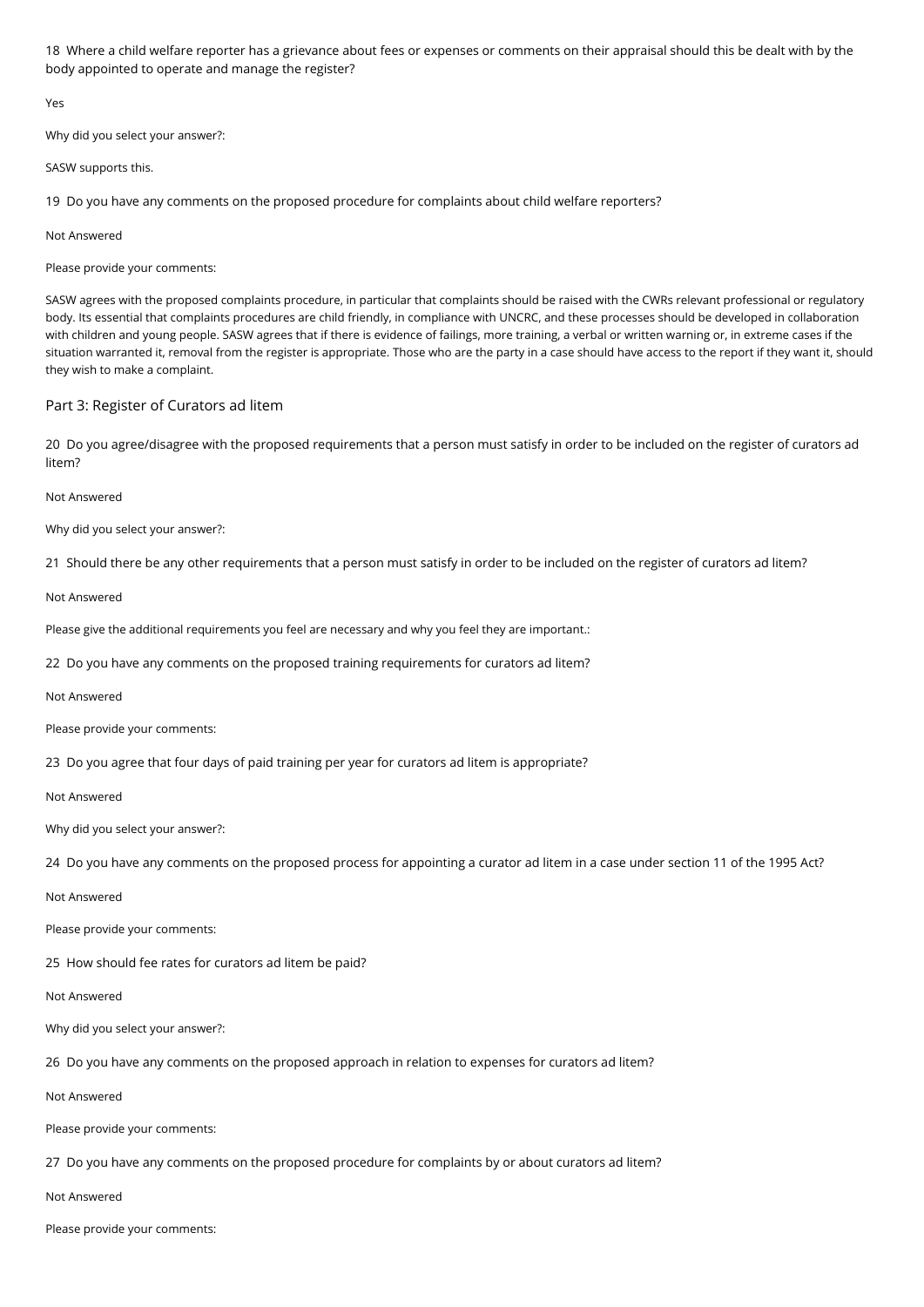18 Where a child welfare reporter has a grievance about fees or expenses or comments on their appraisal should this be dealt with by the body appointed to operate and manage the register?

Yes

Why did you select your answer?:

SASW supports this.

19 Do you have any comments on the proposed procedure for complaints about child welfare reporters?

Not Answered

Please provide your comments:

SASW agrees with the proposed complaints procedure, in particular that complaints should be raised with the CWRs relevant professional or regulatory body. Its essential that complaints procedures are child friendly, in compliance with UNCRC, and these processes should be developed in collaboration with children and young people. SASW agrees that if there is evidence of failings, more training, a verbal or written warning or, in extreme cases if the situation warranted it, removal from the register is appropriate. Those who are the party in a case should have access to the report if they want it, should they wish to make a complaint.

# Part 3: Register of Curators ad litem

20 Do you agree/disagree with the proposed requirements that a person must satisfy in order to be included on the register of curators ad litem?

Not Answered

Why did you select your answer?:

21 Should there be any other requirements that a person must satisfy in order to be included on the register of curators ad litem?

Not Answered

Please give the additional requirements you feel are necessary and why you feel they are important.:

22 Do you have any comments on the proposed training requirements for curators ad litem?

Not Answered

Please provide your comments:

23 Do you agree that four days of paid training per year for curators ad litem is appropriate?

Not Answered

Why did you select your answer?:

24 Do you have any comments on the proposed process for appointing a curator ad litem in a case under section 11 of the 1995 Act?

Not Answered

Please provide your comments:

25 How should fee rates for curators ad litem be paid?

Not Answered

Why did you select your answer?:

26 Do you have any comments on the proposed approach in relation to expenses for curators ad litem?

Not Answered

Please provide your comments:

27 Do you have any comments on the proposed procedure for complaints by or about curators ad litem?

Not Answered

Please provide your comments: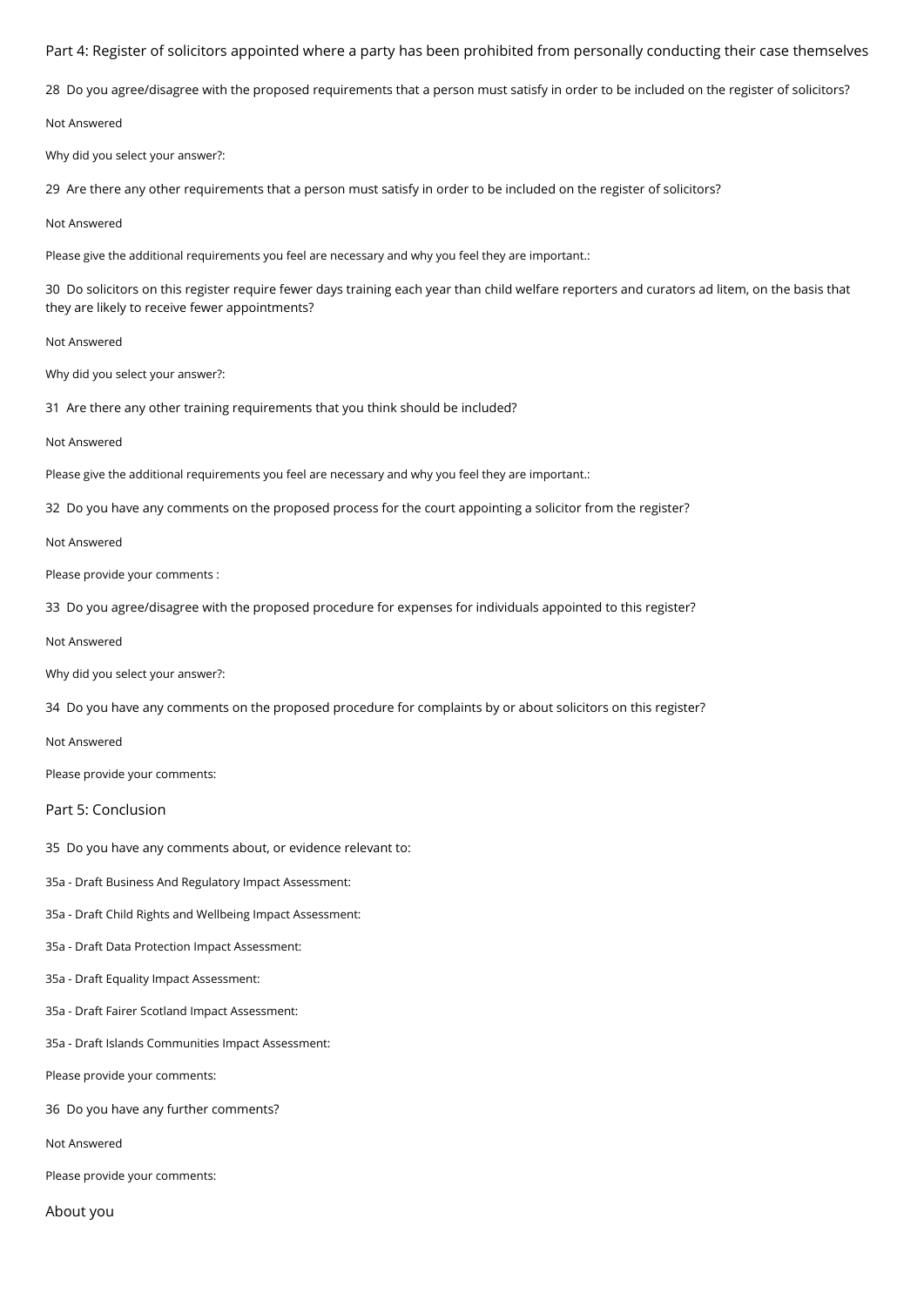Part 4: Register of solicitors appointed where a party has been prohibited from personally conducting their case themselves

28 Do you agree/disagree with the proposed requirements that a person must satisfy in order to be included on the register of solicitors?

Not Answered

Why did you select your answer?:

29 Are there any other requirements that a person must satisfy in order to be included on the register of solicitors?

Not Answered

Please give the additional requirements you feel are necessary and why you feel they are important.:

30 Do solicitors on this register require fewer days training each year than child welfare reporters and curators ad litem, on the basis that they are likely to receive fewer appointments?

Not Answered

Why did you select your answer?:

31 Are there any other training requirements that you think should be included?

#### Not Answered

Please give the additional requirements you feel are necessary and why you feel they are important.:

32 Do you have any comments on the proposed process for the court appointing a solicitor from the register?

Not Answered

Please provide your comments :

33 Do you agree/disagree with the proposed procedure for expenses for individuals appointed to this register?

#### Not Answered

Why did you select your answer?:

34 Do you have any comments on the proposed procedure for complaints by or about solicitors on this register?

Not Answered

Please provide your comments:

Part 5: Conclusion

35 Do you have any comments about, or evidence relevant to:

35a - Draft Business And Regulatory Impact Assessment:

35a - Draft Child Rights and Wellbeing Impact Assessment:

35a - Draft Data Protection Impact Assessment:

35a - Draft Equality Impact Assessment:

35a - Draft Fairer Scotland Impact Assessment:

35a - Draft Islands Communities Impact Assessment:

Please provide your comments:

36 Do you have any further comments?

Not Answered

Please provide your comments:

About you